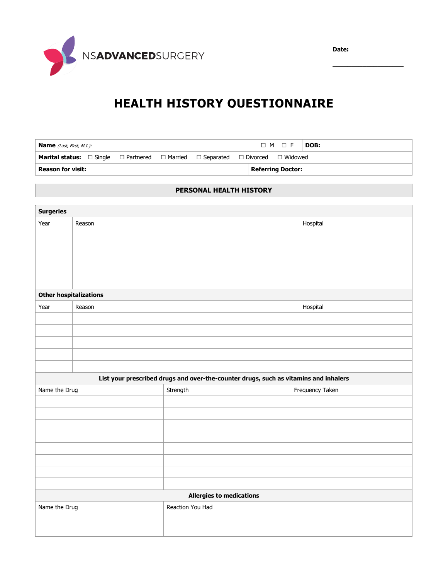

**\_\_\_\_\_\_\_\_\_\_\_\_\_\_\_\_\_\_\_**



# **HEALTH HISTORY QUESTIONNAIRE**

| <b>Name</b> (Last, First, M.I.):                                                                                     |  |  |                          | $\Box$ M $\Box$ F $\Box$ DOB: |  |
|----------------------------------------------------------------------------------------------------------------------|--|--|--------------------------|-------------------------------|--|
| <b>Marital status:</b> $\Box$ Single $\Box$ Partnered $\Box$ Married $\Box$ Separated $\Box$ Divorced $\Box$ Widowed |  |  |                          |                               |  |
| <b>Reason for visit:</b>                                                                                             |  |  | <b>Referring Doctor:</b> |                               |  |

### **PERSONAL HEALTH HISTORY**

| <b>Surgeries</b>                                                                     |        |                                 |                 |  |
|--------------------------------------------------------------------------------------|--------|---------------------------------|-----------------|--|
| Year                                                                                 | Reason |                                 | Hospital        |  |
|                                                                                      |        |                                 |                 |  |
|                                                                                      |        |                                 |                 |  |
|                                                                                      |        |                                 |                 |  |
|                                                                                      |        |                                 |                 |  |
|                                                                                      |        |                                 |                 |  |
| <b>Other hospitalizations</b>                                                        |        |                                 |                 |  |
| Year                                                                                 | Reason |                                 | Hospital        |  |
|                                                                                      |        |                                 |                 |  |
|                                                                                      |        |                                 |                 |  |
|                                                                                      |        |                                 |                 |  |
|                                                                                      |        |                                 |                 |  |
|                                                                                      |        |                                 |                 |  |
| List your prescribed drugs and over-the-counter drugs, such as vitamins and inhalers |        |                                 |                 |  |
|                                                                                      |        |                                 |                 |  |
| Name the Drug                                                                        |        | Strength                        | Frequency Taken |  |
|                                                                                      |        |                                 |                 |  |
|                                                                                      |        |                                 |                 |  |
|                                                                                      |        |                                 |                 |  |
|                                                                                      |        |                                 |                 |  |
|                                                                                      |        |                                 |                 |  |
|                                                                                      |        |                                 |                 |  |
|                                                                                      |        |                                 |                 |  |
|                                                                                      |        |                                 |                 |  |
|                                                                                      |        | <b>Allergies to medications</b> |                 |  |
| Name the Drug                                                                        |        | Reaction You Had                |                 |  |
|                                                                                      |        |                                 |                 |  |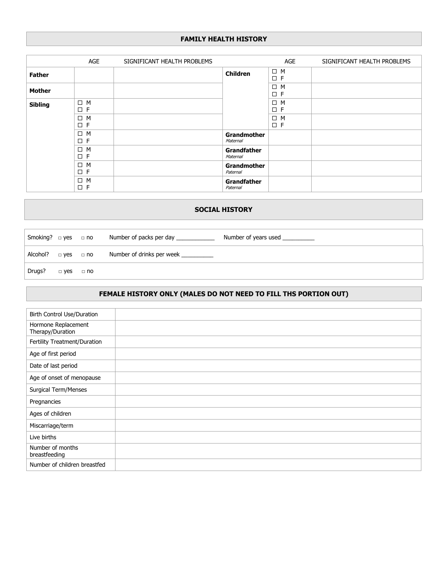#### **FAMILY HEALTH HISTORY**

|                | AGE                     | SIGNIFICANT HEALTH PROBLEMS |                                | AGE                     | SIGNIFICANT HEALTH PROBLEMS |
|----------------|-------------------------|-----------------------------|--------------------------------|-------------------------|-----------------------------|
| <b>Father</b>  |                         |                             | <b>Children</b>                | $\Box$ M<br>$\square$ F |                             |
| <b>Mother</b>  |                         |                             |                                | $\Box$ M<br>$\square$ F |                             |
| <b>Sibling</b> | $\Box$ M<br>$\square$ F |                             |                                | $\Box$ M<br>$\square$ F |                             |
|                | $\Box$ M<br>$\square$ F |                             |                                | $\Box$ M<br>$\square$ F |                             |
|                | $\Box$ M<br>$\square$ F |                             | <b>Grandmother</b><br>Maternal |                         |                             |
|                | $\Box$ M<br>$\square$ F |                             | <b>Grandfather</b><br>Maternal |                         |                             |
|                | $\Box$ M<br>$\square$ F |                             | <b>Grandmother</b><br>Paternal |                         |                             |
|                | $\Box$ M<br>$\square$ F |                             | <b>Grandfather</b><br>Paternal |                         |                             |

#### **SOCIAL HISTORY**

|          |                      | Number of years used<br>$\mid$ Smoking? $\sqsubset$ yes $\sqsubset$ no Number of packs per day |
|----------|----------------------|------------------------------------------------------------------------------------------------|
| Alcohol? |                      | $\Box$ yes $\Box$ no Number of drinks per week $\Box$                                          |
| Drugs?   | $\Box$ yes $\Box$ no |                                                                                                |

# **FEMALE HISTORY ONLY (MALES DO NOT NEED TO FILL THS PORTION OUT)**

| Birth Control Use/Duration              |  |
|-----------------------------------------|--|
| Hormone Replacement<br>Therapy/Duration |  |
| Fertility Treatment/Duration            |  |
| Age of first period                     |  |
| Date of last period                     |  |
| Age of onset of menopause               |  |
| Surgical Term/Menses                    |  |
| Pregnancies                             |  |
| Ages of children                        |  |
| Miscarriage/term                        |  |
| Live births                             |  |
| Number of months<br>breastfeeding       |  |
| Number of children breastfed            |  |